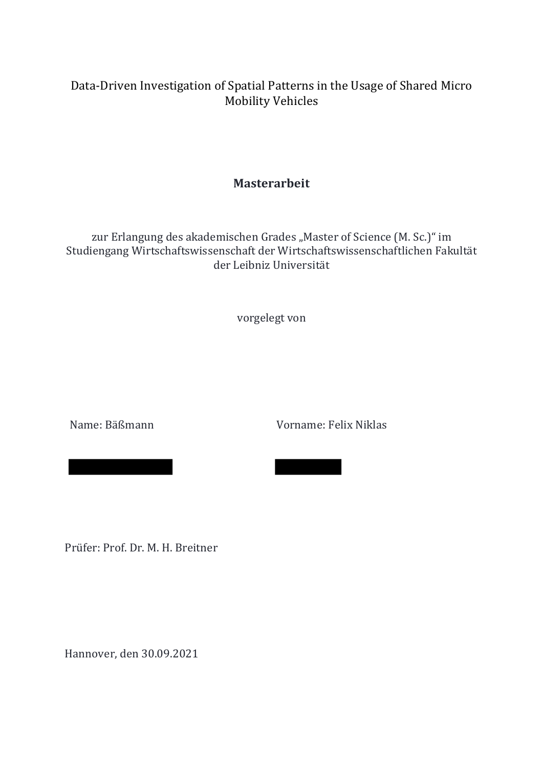### Data-Driven Investigation of Spatial Patterns in the Usage of Shared Micro **Mobility Vehicles**

### **Masterarbeit**

zur Erlangung des akademischen Grades "Master of Science (M. Sc.)" im Studiengang Wirtschaftswissenschaft der Wirtschaftswissenschaftlichen Fakultät der Leibniz Universität 

vorgelegt von

Name: Bäßmann Vorname: Felix Niklas

Prüfer: Prof. Dr. M. H. Breitner

Geb. am: 20.02.1998 in: Hannover

Hannover, den 30.09.2021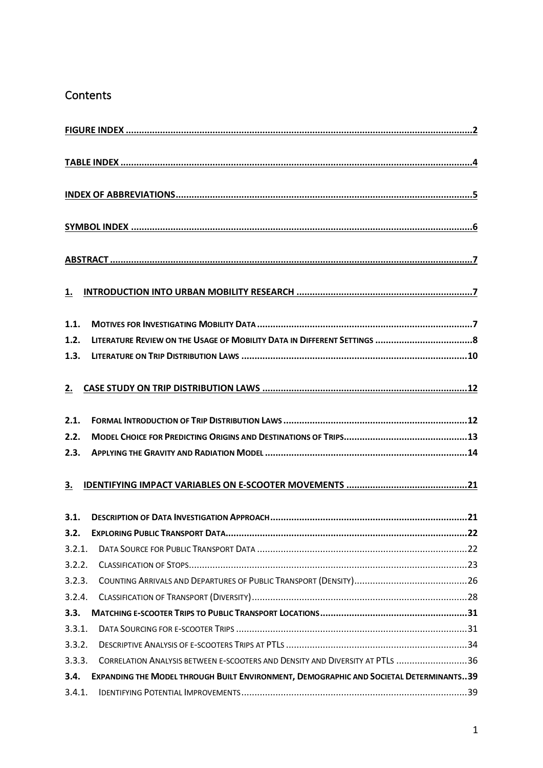### **Contents**

| <u>1.</u> |                                                                                        |
|-----------|----------------------------------------------------------------------------------------|
| 1.1.      |                                                                                        |
| 1.2.      |                                                                                        |
| 1.3.      |                                                                                        |
| 2.        |                                                                                        |
| 2.1.      |                                                                                        |
| 2.2.      |                                                                                        |
| 2.3.      |                                                                                        |
| <u>3.</u> |                                                                                        |
| 3.1.      |                                                                                        |
|           |                                                                                        |
| 3.2.1.    |                                                                                        |
| 3.2.2.    |                                                                                        |
| 3.2.3.    |                                                                                        |
| 3.2.4.    |                                                                                        |
| 3.3.      |                                                                                        |
| 3.3.1.    |                                                                                        |
| 3.3.2.    |                                                                                        |
| 3.3.3.    | CORRELATION ANALYSIS BETWEEN E-SCOOTERS AND DENSITY AND DIVERSITY AT PTLS 36           |
| 3.4.      | EXPANDING THE MODEL THROUGH BUILT ENVIRONMENT, DEMOGRAPHIC AND SOCIETAL DETERMINANTS39 |
| 3.4.1.    |                                                                                        |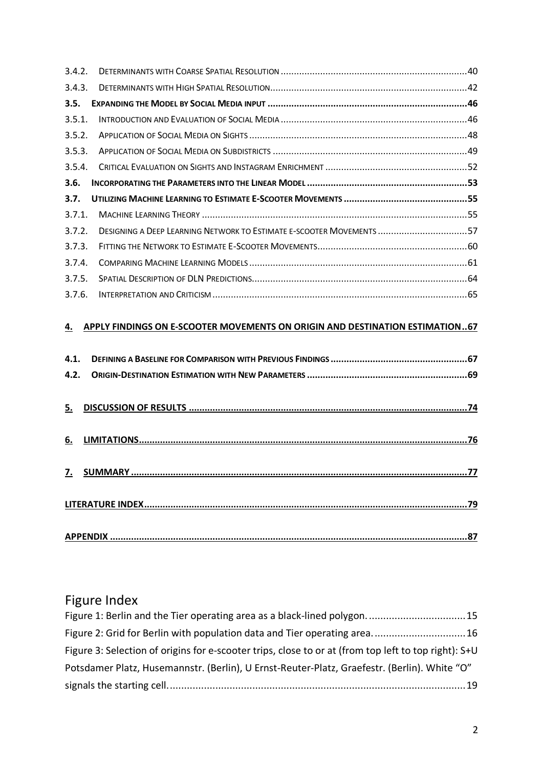| 3.4.2. |                                                                      |  |
|--------|----------------------------------------------------------------------|--|
| 3.4.3. |                                                                      |  |
| 3.5.   |                                                                      |  |
| 3.5.1. |                                                                      |  |
| 3.5.2. |                                                                      |  |
| 3.5.3. |                                                                      |  |
| 3.5.4. |                                                                      |  |
| 3.6.   |                                                                      |  |
| 3.7.   |                                                                      |  |
| 3.7.1. |                                                                      |  |
| 3.7.2. | DESIGNING A DEEP LEARNING NETWORK TO ESTIMATE E-SCOOTER MOVEMENTS 57 |  |
| 3.7.3. |                                                                      |  |
|        |                                                                      |  |
| 3.7.4. |                                                                      |  |
| 3.7.5. |                                                                      |  |
| 3.7.6. |                                                                      |  |

# **4. APPLY FINDINGS ON E-SCOOTER MOVEMENTS ON ORIGIN AND DESTINATION ESTIMATION..67**

# Figure Index

| Figure 1: Berlin and the Tier operating area as a black-lined polygon15                              |  |
|------------------------------------------------------------------------------------------------------|--|
| Figure 2: Grid for Berlin with population data and Tier operating area16                             |  |
| Figure 3: Selection of origins for e-scooter trips, close to or at (from top left to top right): S+U |  |
| Potsdamer Platz, Husemannstr. (Berlin), U Ernst-Reuter-Platz, Graefestr. (Berlin). White "O"         |  |
|                                                                                                      |  |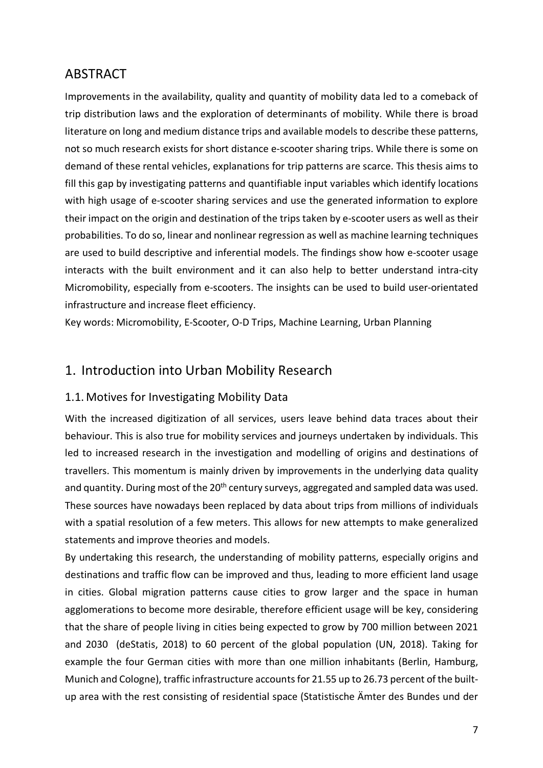## ABSTRACT

Improvements in the availability, quality and quantity of mobility data led to a comeback of trip distribution laws and the exploration of determinants of mobility. While there is broad literature on long and medium distance trips and available models to describe these patterns, not so much research exists for short distance e-scooter sharing trips. While there is some on demand of these rental vehicles, explanations for trip patterns are scarce. This thesis aims to fill this gap by investigating patterns and quantifiable input variables which identify locations with high usage of e-scooter sharing services and use the generated information to explore their impact on the origin and destination of the trips taken by e-scooter users as well as their probabilities. To do so, linear and nonlinear regression as well as machine learning techniques are used to build descriptive and inferential models. The findings show how e-scooter usage interacts with the built environment and it can also help to better understand intra-city Micromobility, especially from e-scooters. The insights can be used to build user-orientated infrastructure and increase fleet efficiency.

Key words: Micromobility, E-Scooter, O-D Trips, Machine Learning, Urban Planning

### 1. Introduction into Urban Mobility Research

#### 1.1. Motives for Investigating Mobility Data

With the increased digitization of all services, users leave behind data traces about their behaviour. This is also true for mobility services and journeys undertaken by individuals. This led to increased research in the investigation and modelling of origins and destinations of travellers. This momentum is mainly driven by improvements in the underlying data quality and quantity. During most of the 20<sup>th</sup> century surveys, aggregated and sampled data was used. These sources have nowadays been replaced by data about trips from millions of individuals with a spatial resolution of a few meters. This allows for new attempts to make generalized statements and improve theories and models.

By undertaking this research, the understanding of mobility patterns, especially origins and destinations and traffic flow can be improved and thus, leading to more efficient land usage in cities. Global migration patterns cause cities to grow larger and the space in human agglomerations to become more desirable, therefore efficient usage will be key, considering that the share of people living in cities being expected to grow by 700 million between 2021 and 2030 (deStatis, 2018) to 60 percent of the global population (UN, 2018). Taking for example the four German cities with more than one million inhabitants (Berlin, Hamburg, Munich and Cologne), traffic infrastructure accounts for 21.55 up to 26.73 percent of the builtup area with the rest consisting of residential space (Statistische Ämter des Bundes und der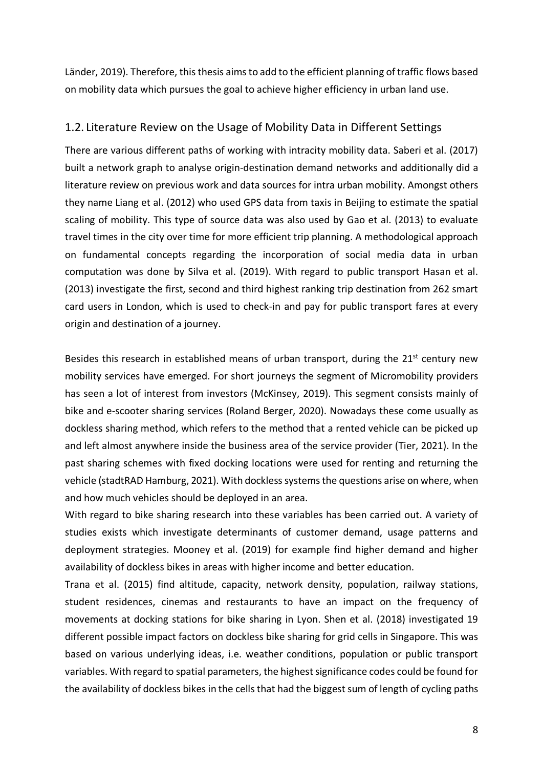Länder, 2019). Therefore, this thesis aims to add to the efficient planning of traffic flows based on mobility data which pursues the goal to achieve higher efficiency in urban land use.

#### 1.2. Literature Review on the Usage of Mobility Data in Different Settings

There are various different paths of working with intracity mobility data. Saberi et al. (2017) built a network graph to analyse origin-destination demand networks and additionally did a literature review on previous work and data sources for intra urban mobility. Amongst others they name Liang et al. (2012) who used GPS data from taxis in Beijing to estimate the spatial scaling of mobility. This type of source data was also used by Gao et al. (2013) to evaluate travel times in the city over time for more efficient trip planning. A methodological approach on fundamental concepts regarding the incorporation of social media data in urban computation was done by Silva et al. (2019). With regard to public transport Hasan et al. (2013) investigate the first, second and third highest ranking trip destination from 262 smart card users in London, which is used to check-in and pay for public transport fares at every origin and destination of a journey.

Besides this research in established means of urban transport, during the 21<sup>st</sup> century new mobility services have emerged. For short journeys the segment of Micromobility providers has seen a lot of interest from investors (McKinsey, 2019). This segment consists mainly of bike and e-scooter sharing services (Roland Berger, 2020). Nowadays these come usually as dockless sharing method, which refers to the method that a rented vehicle can be picked up and left almost anywhere inside the business area of the service provider (Tier, 2021). In the past sharing schemes with fixed docking locations were used for renting and returning the vehicle (stadtRAD Hamburg, 2021). With dockless systems the questions arise on where, when and how much vehicles should be deployed in an area.

With regard to bike sharing research into these variables has been carried out. A variety of studies exists which investigate determinants of customer demand, usage patterns and deployment strategies. Mooney et al. (2019) for example find higher demand and higher availability of dockless bikes in areas with higher income and better education.

Trana et al. (2015) find altitude, capacity, network density, population, railway stations, student residences, cinemas and restaurants to have an impact on the frequency of movements at docking stations for bike sharing in Lyon. Shen et al. (2018) investigated 19 different possible impact factors on dockless bike sharing for grid cells in Singapore. This was based on various underlying ideas, i.e. weather conditions, population or public transport variables. With regard to spatial parameters, the highest significance codes could be found for the availability of dockless bikes in the cells that had the biggest sum of length of cycling paths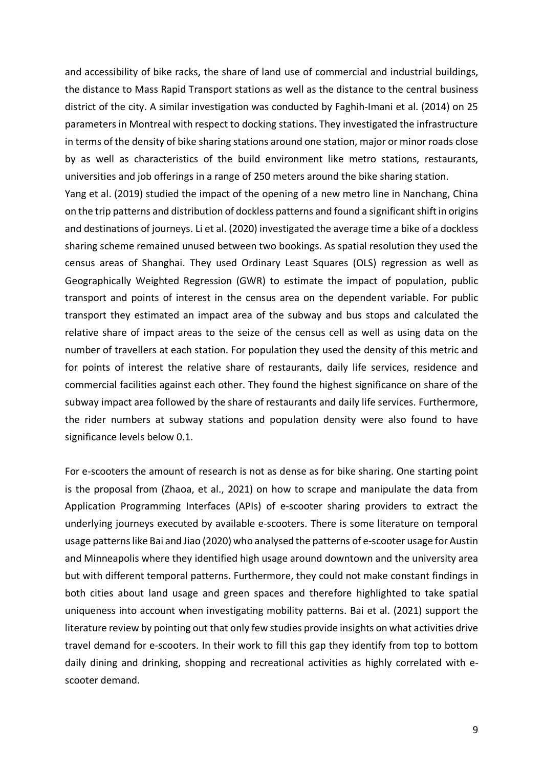and accessibility of bike racks, the share of land use of commercial and industrial buildings, the distance to Mass Rapid Transport stations as well as the distance to the central business district of the city. A similar investigation was conducted by Faghih-Imani et al. (2014) on 25 parameters in Montreal with respect to docking stations. They investigated the infrastructure in terms of the density of bike sharing stations around one station, major or minor roads close by as well as characteristics of the build environment like metro stations, restaurants, universities and job offerings in a range of 250 meters around the bike sharing station.

Yang et al. (2019) studied the impact of the opening of a new metro line in Nanchang, China on the trip patterns and distribution of dockless patterns and found a significant shift in origins and destinations of journeys. Li et al. (2020) investigated the average time a bike of a dockless sharing scheme remained unused between two bookings. As spatial resolution they used the census areas of Shanghai. They used Ordinary Least Squares (OLS) regression as well as Geographically Weighted Regression (GWR) to estimate the impact of population, public transport and points of interest in the census area on the dependent variable. For public transport they estimated an impact area of the subway and bus stops and calculated the relative share of impact areas to the seize of the census cell as well as using data on the number of travellers at each station. For population they used the density of this metric and for points of interest the relative share of restaurants, daily life services, residence and commercial facilities against each other. They found the highest significance on share of the subway impact area followed by the share of restaurants and daily life services. Furthermore, the rider numbers at subway stations and population density were also found to have significance levels below 0.1.

For e-scooters the amount of research is not as dense as for bike sharing. One starting point is the proposal from (Zhaoa, et al., 2021) on how to scrape and manipulate the data from Application Programming Interfaces (APIs) of e-scooter sharing providers to extract the underlying journeys executed by available e-scooters. There is some literature on temporal usage patterns like Bai and Jiao (2020) who analysed the patterns of e-scooter usage for Austin and Minneapolis where they identified high usage around downtown and the university area but with different temporal patterns. Furthermore, they could not make constant findings in both cities about land usage and green spaces and therefore highlighted to take spatial uniqueness into account when investigating mobility patterns. Bai et al. (2021) support the literature review by pointing out that only few studies provide insights on what activities drive travel demand for e-scooters. In their work to fill this gap they identify from top to bottom daily dining and drinking, shopping and recreational activities as highly correlated with escooter demand.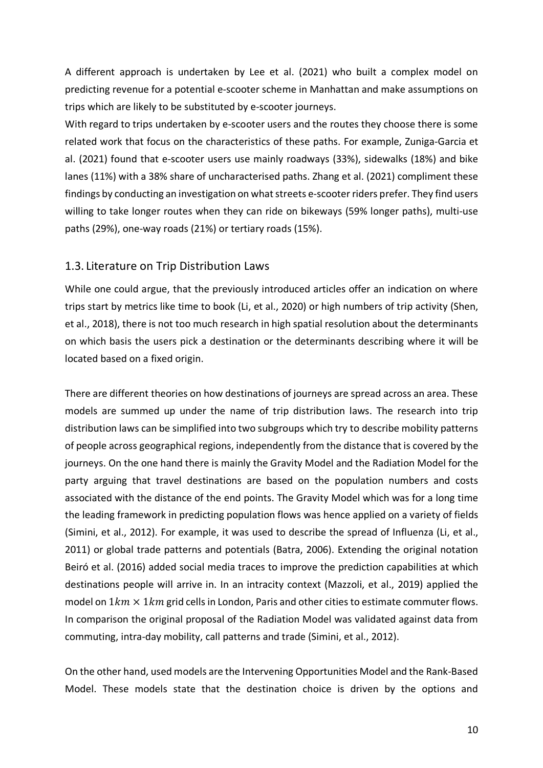A different approach is undertaken by Lee et al. (2021) who built a complex model on predicting revenue for a potential e-scooter scheme in Manhattan and make assumptions on trips which are likely to be substituted by e-scooter journeys.

With regard to trips undertaken by e-scooter users and the routes they choose there is some related work that focus on the characteristics of these paths. For example, Zuniga-Garcia et al. (2021) found that e-scooter users use mainly roadways (33%), sidewalks (18%) and bike lanes (11%) with a 38% share of uncharacterised paths. Zhang et al. (2021) compliment these findings by conducting an investigation on what streets e-scooter riders prefer. They find users willing to take longer routes when they can ride on bikeways (59% longer paths), multi-use paths (29%), one-way roads (21%) or tertiary roads (15%).

#### 1.3. Literature on Trip Distribution Laws

While one could argue, that the previously introduced articles offer an indication on where trips start by metrics like time to book (Li, et al., 2020) or high numbers of trip activity (Shen, et al., 2018), there is not too much research in high spatial resolution about the determinants on which basis the users pick a destination or the determinants describing where it will be located based on a fixed origin.

There are different theories on how destinations of journeys are spread across an area. These models are summed up under the name of trip distribution laws. The research into trip distribution laws can be simplified into two subgroups which try to describe mobility patterns of people across geographical regions, independently from the distance that is covered by the journeys. On the one hand there is mainly the Gravity Model and the Radiation Model for the party arguing that travel destinations are based on the population numbers and costs associated with the distance of the end points. The Gravity Model which was for a long time the leading framework in predicting population flows was hence applied on a variety of fields (Simini, et al., 2012). For example, it was used to describe the spread of Influenza (Li, et al., 2011) or global trade patterns and potentials (Batra, 2006). Extending the original notation Beiró et al. (2016) added social media traces to improve the prediction capabilities at which destinations people will arrive in. In an intracity context (Mazzoli, et al., 2019) applied the model on  $1km \times 1km$  grid cells in London, Paris and other cities to estimate commuter flows. In comparison the original proposal of the Radiation Model was validated against data from commuting, intra-day mobility, call patterns and trade (Simini, et al., 2012).

On the other hand, used models are the Intervening Opportunities Model and the Rank-Based Model. These models state that the destination choice is driven by the options and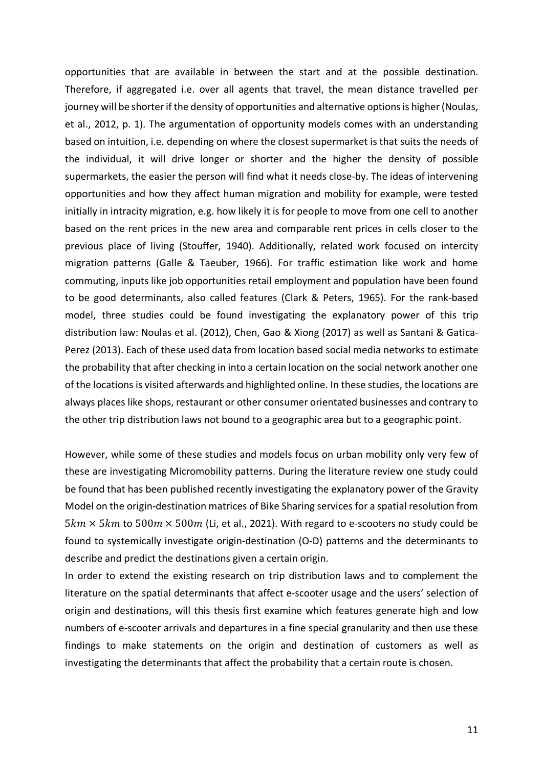opportunities that are available in between the start and at the possible destination. Therefore, if aggregated i.e. over all agents that travel, the mean distance travelled per iourney will be shorter if the density of opportunities and alternative options is higher (Noulas, et al., 2012, p. 1). The argumentation of opportunity models comes with an understanding based on intuition, i.e. depending on where the closest supermarket is that suits the needs of the individual, it will drive longer or shorter and the higher the density of possible supermarkets, the easier the person will find what it needs close-by. The ideas of intervening opportunities and how they affect human migration and mobility for example, were tested initially in intracity migration, e.g. how likely it is for people to move from one cell to another based on the rent prices in the new area and comparable rent prices in cells closer to the previous place of living (Stouffer, 1940). Additionally, related work focused on intercity migration patterns (Galle & Taeuber, 1966). For traffic estimation like work and home commuting, inputs like job opportunities retail employment and population have been found to be good determinants, also called features (Clark & Peters, 1965). For the rank-based model, three studies could be found investigating the explanatory power of this trip distribution law: Noulas et al. (2012), Chen, Gao & Xiong (2017) as well as Santani & Gatica-Perez (2013). Each of these used data from location based social media networks to estimate the probability that after checking in into a certain location on the social network another one of the locations is visited afterwards and highlighted online. In these studies, the locations are always places like shops, restaurant or other consumer orientated businesses and contrary to the other trip distribution laws not bound to a geographic area but to a geographic point.

However, while some of these studies and models focus on urban mobility only very few of these are investigating Micromobility patterns. During the literature review one study could be found that has been published recently investigating the explanatory power of the Gravity Model on the origin-destination matrices of Bike Sharing services for a spatial resolution from  $5km \times 5km$  to  $500m \times 500m$  (Li, et al., 2021). With regard to e-scooters no study could be found to systemically investigate origin-destination (O-D) patterns and the determinants to describe and predict the destinations given a certain origin.

In order to extend the existing research on trip distribution laws and to complement the literature on the spatial determinants that affect e-scooter usage and the users' selection of origin and destinations, will this thesis first examine which features generate high and low numbers of e-scooter arrivals and departures in a fine special granularity and then use these findings to make statements on the origin and destination of customers as well as investigating the determinants that affect the probability that a certain route is chosen.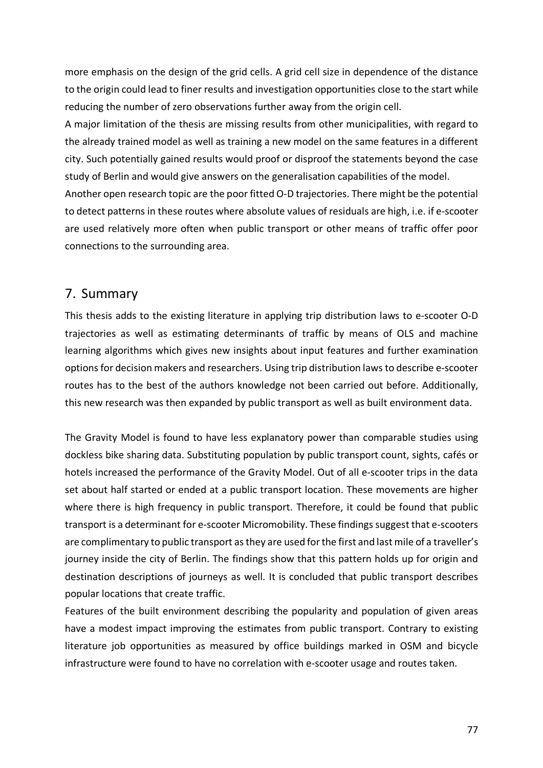more emphasis on the design of the grid cells. A grid cell size in dependence of the distance to the origin could lead to finer results and investigation opportunities close to the start while reducing the number of zero observations further away from the origin cell.

A major limitation of the thesis are missing results from other municipalities, with regard to the already trained model as well as training a new model on the same features in a different city. Such potentially gained results would proof or disproof the statements beyond the case study of Berlin and would give answers on the generalisation capabilities of the model.

Another open research topic are the poor fitted O-D trajectories. There might be the potential to detect patterns in these routes where absolute values of residuals are high, i.e. if e-scooter are used relatively more often when public transport or other means of traffic offer poor connections to the surrounding area.

### 7. Summary

This thesis adds to the existing literature in applying trip distribution laws to e-scooter O-D trajectories as well as estimating determinants of traffic by means of OLS and machine learning algorithms which gives new insights about input features and further examination options for decision makers and researchers. Using trip distribution laws to describe e-scooter routes has to the best of the authors knowledge not been carried out before. Additionally, this new research was then expanded by public transport as well as built environment data.

The Gravity Model is found to have less explanatory power than comparable studies using dockless bike sharing data. Substituting population by public transport count, sights, cafés or hotels increased the performance of the Gravity Model. Out of all e-scooter trips in the data set about half started or ended at a public transport location. These movements are higher where there is high frequency in public transport. Therefore, it could be found that public transport is a determinant for e-scooter Micromobility. These findings suggest that e-scooters are complimentary to public transport as they are used for the first and last mile of a traveller's journey inside the city of Berlin. The findings show that this pattern holds up for origin and destination descriptions of journeys as well. It is concluded that public transport describes popular locations that create traffic.

Features of the built environment describing the popularity and population of given areas have a modest impact improving the estimates from public transport. Contrary to existing literature job opportunities as measured by office buildings marked in OSM and bicycle infrastructure were found to have no correlation with e-scooter usage and routes taken.